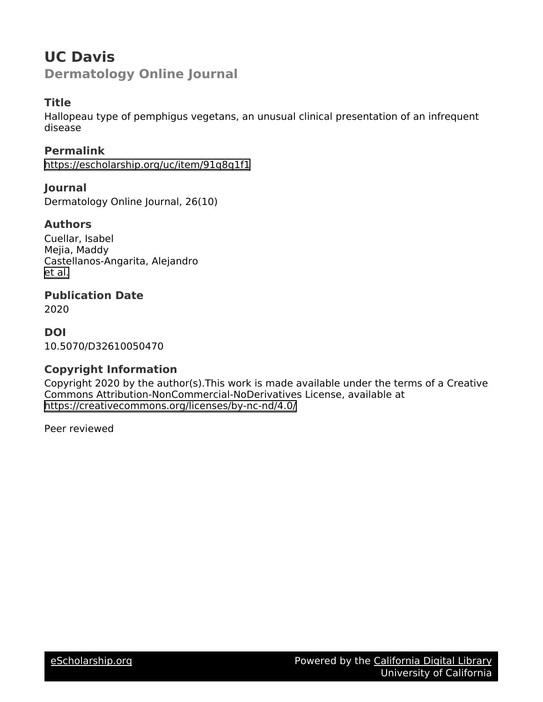# **UC Davis Dermatology Online Journal**

# **Title**

Hallopeau type of pemphigus vegetans, an unusual clinical presentation of an infrequent disease

**Permalink** <https://escholarship.org/uc/item/91q8q1f1>

**Journal** Dermatology Online Journal, 26(10)

### **Authors**

Cuellar, Isabel Mejia, Maddy Castellanos-Angarita, Alejandro [et al.](https://escholarship.org/uc/item/91q8q1f1#author)

**Publication Date**

2020

## **DOI**

10.5070/D32610050470

# **Copyright Information**

Copyright 2020 by the author(s).This work is made available under the terms of a Creative Commons Attribution-NonCommercial-NoDerivatives License, available at <https://creativecommons.org/licenses/by-nc-nd/4.0/>

Peer reviewed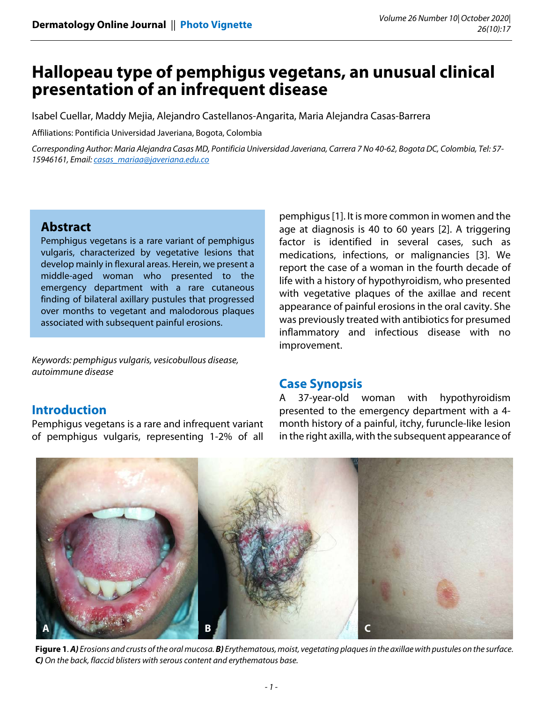# **Hallopeau type of pemphigus vegetans, an unusual clinical presentation of an infrequent disease**

Isabel Cuellar, Maddy Mejia, Alejandro Castellanos-Angarita, Maria Alejandra Casas-Barrera

Affiliations: Pontificia Universidad Javeriana, Bogota, Colombia

Corresponding Author: Maria Alejandra Casas MD, Pontificia Universidad Javeriana, Carrera 7 No 40-62, Bogota DC, Colombia, Tel: 57- 15946161, Email: casas\_mariaa@javeriana.edu.co

#### **Abstract**

**Introduction** 

Pemphigus vegetans is a rare variant of pemphigus vulgaris, characterized by vegetative lesions that develop mainly in flexural areas. Herein, we present a middle-aged woman who presented to the emergency department with a rare cutaneous finding of bilateral axillary pustules that progressed over months to vegetant and malodorous plaques associated with subsequent painful erosions.

Keywords: pemphigus vulgaris, vesicobullous disease, autoimmune disease

Pemphigus vegetans is a rare and infrequent variant of pemphigus vulgaris, representing 1-2% of all

pemphigus [1]. It is more common in women and the age at diagnosis is 40 to 60 years [2]. A triggering factor is identified in several cases, such as medications, infections, or malignancies [3]. We report the case of a woman in the fourth decade of life with a history of hypothyroidism, who presented with vegetative plaques of the axillae and recent appearance of painful erosions in the oral cavity. She was previously treated with antibiotics for presumed inflammatory and infectious disease with no improvement.

### **Case Synopsis**

A 37-year-old woman with hypothyroidism presented to the emergency department with a 4 month history of a painful, itchy, furuncle-like lesion in the right axilla, with the subsequent appearance of

**A B C**

**Figure 1**. **A)** Erosions and crusts of the oral mucosa. **B)** Erythematous, moist, vegetating plaques in the axillae with pustules on the surface. **C)** On the back, flaccid blisters with serous content and erythematous base.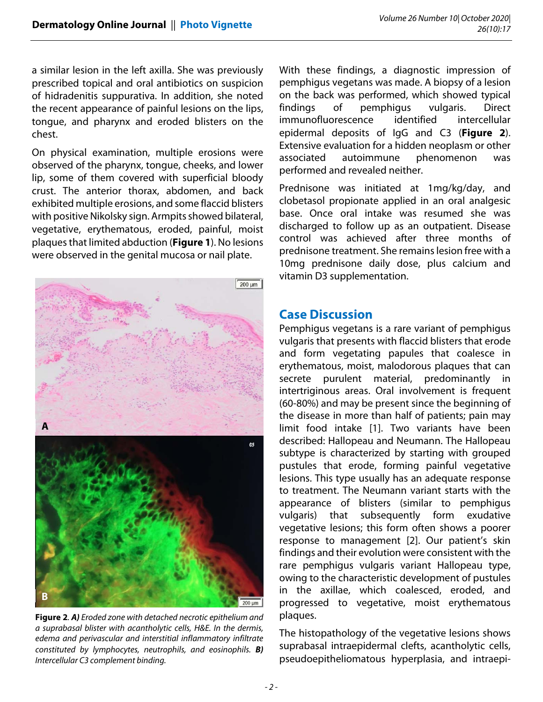a similar lesion in the left axilla. She was previously prescribed topical and oral antibiotics on suspicion of hidradenitis suppurativa. In addition, she noted the recent appearance of painful lesions on the lips, tongue, and pharynx and eroded blisters on the chest.

On physical examination, multiple erosions were observed of the pharynx, tongue, cheeks, and lower lip, some of them covered with superficial bloody crust. The anterior thorax, abdomen, and back exhibited multiple erosions, and some flaccid blisters with positive Nikolsky sign. Armpits showed bilateral, vegetative, erythematous, eroded, painful, moist plaques that limited abduction (**Figure 1**). No lesions were observed in the genital mucosa or nail plate.



**Figure 2**. **A)** Eroded zone with detached necrotic epithelium and a suprabasal blister with acantholytic cells, H&E. In the dermis, edema and perivascular and interstitial inflammatory infiltrate constituted by lymphocytes, neutrophils, and eosinophils. **B)** Intercellular C3 complement binding.

With these findings, a diagnostic impression of pemphigus vegetans was made. A biopsy of a lesion on the back was performed, which showed typical findings of pemphigus vulgaris. Direct immunofluorescence identified intercellular epidermal deposits of IgG and C3 (**Figure 2**). Extensive evaluation for a hidden neoplasm or other associated autoimmune phenomenon was performed and revealed neither.

Prednisone was initiated at 1mg/kg/day, and clobetasol propionate applied in an oral analgesic base. Once oral intake was resumed she was discharged to follow up as an outpatient. Disease control was achieved after three months of prednisone treatment. She remains lesion free with a 10mg prednisone daily dose, plus calcium and vitamin D3 supplementation.

#### **Case Discussion**

Pemphigus vegetans is a rare variant of pemphigus vulgaris that presents with flaccid blisters that erode and form vegetating papules that coalesce in erythematous, moist, malodorous plaques that can secrete purulent material, predominantly in intertriginous areas. Oral involvement is frequent (60-80%) and may be present since the beginning of the disease in more than half of patients; pain may limit food intake [1]. Two variants have been described: Hallopeau and Neumann. The Hallopeau subtype is characterized by starting with grouped pustules that erode, forming painful vegetative lesions. This type usually has an adequate response to treatment. The Neumann variant starts with the appearance of blisters (similar to pemphigus vulgaris) that subsequently form exudative vegetative lesions; this form often shows a poorer response to management [2]. Our patient's skin findings and their evolution were consistent with the rare pemphigus vulgaris variant Hallopeau type, owing to the characteristic development of pustules in the axillae, which coalesced, eroded, and progressed to vegetative, moist erythematous plaques.

The histopathology of the vegetative lesions shows suprabasal intraepidermal clefts, acantholytic cells, pseudoepitheliomatous hyperplasia, and intraepi